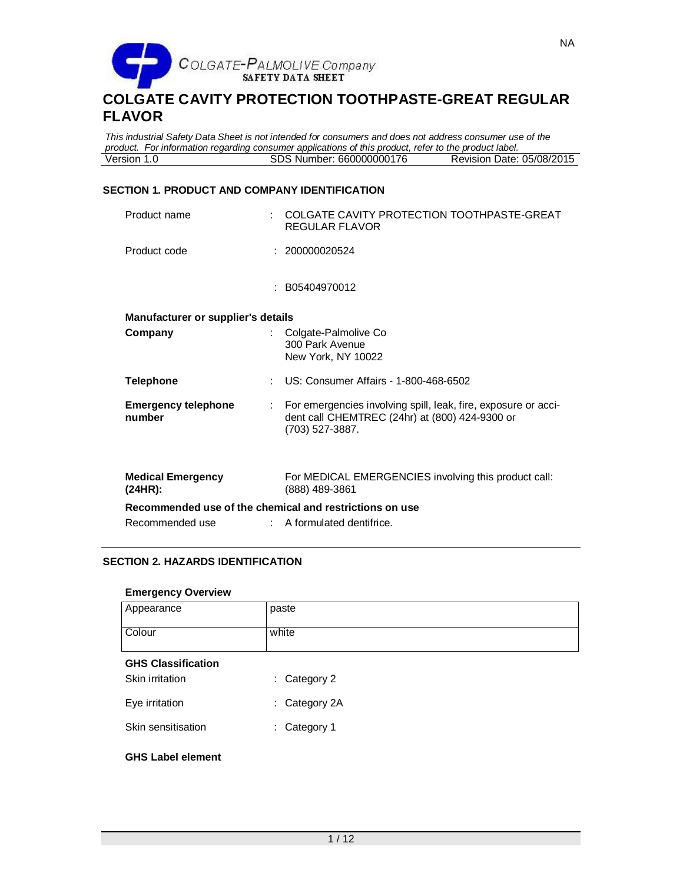

*This industrial Safety Data Sheet is not intended for consumers and does not address consumer use of the product. For information regarding consumer applications of this product, refer to the product label.* SDS Number: 660000000176

## **SECTION 1. PRODUCT AND COMPANY IDENTIFICATION**

| Product name                                            | COLGATE CAVITY PROTECTION TOOTHPASTE-GREAT<br>REGULAR FLAVOR                                                                        |
|---------------------------------------------------------|-------------------------------------------------------------------------------------------------------------------------------------|
| Product code                                            | 200000020524                                                                                                                        |
|                                                         | : B05404970012                                                                                                                      |
| Manufacturer or supplier's details                      |                                                                                                                                     |
| Company                                                 | Colgate-Palmolive Co<br>300 Park Avenue<br>New York, NY 10022                                                                       |
| <b>Telephone</b>                                        | US: Consumer Affairs - 1-800-468-6502                                                                                               |
| <b>Emergency telephone</b><br>number                    | For emergencies involving spill, leak, fire, exposure or acci-<br>dent call CHEMTREC (24hr) at (800) 424-9300 or<br>(703) 527-3887. |
| <b>Medical Emergency</b><br>(24HR):                     | For MEDICAL EMERGENCIES involving this product call:<br>(888) 489-3861                                                              |
| Recommended use of the chemical and restrictions on use |                                                                                                                                     |
| Recommended use                                         | A formulated dentifrice.                                                                                                            |

## **SECTION 2. HAZARDS IDENTIFICATION**

## **Emergency Overview**

| .                                            |                   |
|----------------------------------------------|-------------------|
| Appearance                                   | paste             |
| Colour                                       | white             |
| <b>GHS Classification</b><br>Skin irritation | Category 2<br>÷.  |
| Eye irritation                               | Category 2A<br>t. |
| Skin sensitisation                           | Category 1<br>÷.  |
| <b>GHS Label element</b>                     |                   |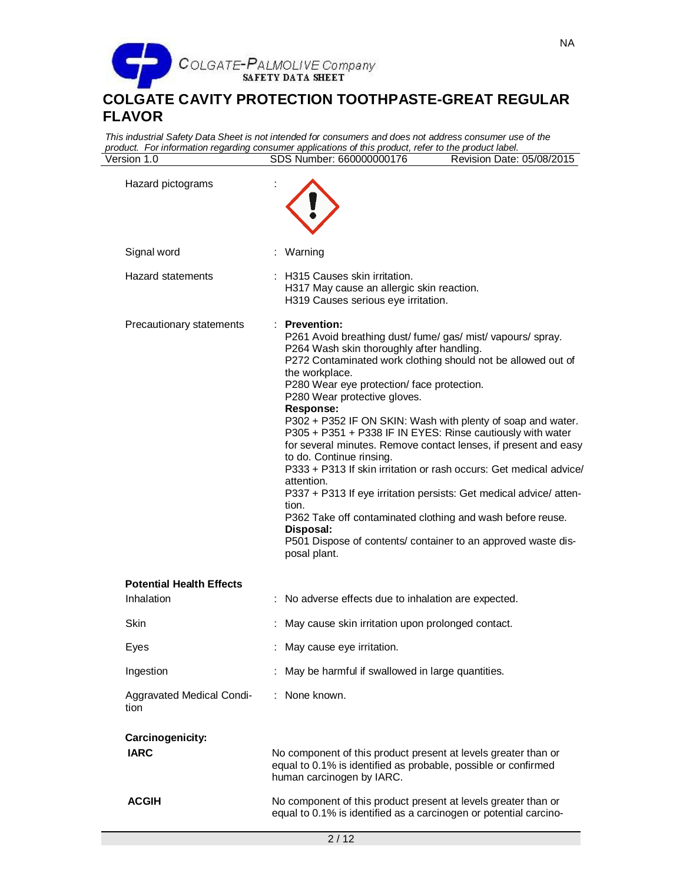

*This industrial Safety Data Sheet is not intended for consumers and does not address consumer use of the product. For information regarding consumer applications of this product, refer to the product label.* Version 1.0 SDS Number: 660000000176 Revision Date: 05/08/2015

| Hazard pictograms                             |                                                                                                                                                                                                                                                                                                                                                                                                                                                                                                                                                                                                                                                                                                                                                                                                                                                             |
|-----------------------------------------------|-------------------------------------------------------------------------------------------------------------------------------------------------------------------------------------------------------------------------------------------------------------------------------------------------------------------------------------------------------------------------------------------------------------------------------------------------------------------------------------------------------------------------------------------------------------------------------------------------------------------------------------------------------------------------------------------------------------------------------------------------------------------------------------------------------------------------------------------------------------|
| Signal word                                   | : Warning                                                                                                                                                                                                                                                                                                                                                                                                                                                                                                                                                                                                                                                                                                                                                                                                                                                   |
| <b>Hazard statements</b>                      | : H315 Causes skin irritation.<br>H317 May cause an allergic skin reaction.<br>H319 Causes serious eye irritation.                                                                                                                                                                                                                                                                                                                                                                                                                                                                                                                                                                                                                                                                                                                                          |
| Precautionary statements                      | : Prevention:<br>P261 Avoid breathing dust/fume/gas/mist/vapours/spray.<br>P264 Wash skin thoroughly after handling.<br>P272 Contaminated work clothing should not be allowed out of<br>the workplace.<br>P280 Wear eye protection/ face protection.<br>P280 Wear protective gloves.<br>Response:<br>P302 + P352 IF ON SKIN: Wash with plenty of soap and water.<br>P305 + P351 + P338 IF IN EYES: Rinse cautiously with water<br>for several minutes. Remove contact lenses, if present and easy<br>to do. Continue rinsing.<br>P333 + P313 If skin irritation or rash occurs: Get medical advice/<br>attention.<br>P337 + P313 If eye irritation persists: Get medical advice/atten-<br>tion.<br>P362 Take off contaminated clothing and wash before reuse.<br>Disposal:<br>P501 Dispose of contents/ container to an approved waste dis-<br>posal plant. |
| <b>Potential Health Effects</b><br>Inhalation | : No adverse effects due to inhalation are expected.                                                                                                                                                                                                                                                                                                                                                                                                                                                                                                                                                                                                                                                                                                                                                                                                        |
| <b>Skin</b>                                   | May cause skin irritation upon prolonged contact.                                                                                                                                                                                                                                                                                                                                                                                                                                                                                                                                                                                                                                                                                                                                                                                                           |
| Eyes                                          | May cause eye irritation.                                                                                                                                                                                                                                                                                                                                                                                                                                                                                                                                                                                                                                                                                                                                                                                                                                   |
| Ingestion                                     | : May be harmful if swallowed in large quantities.                                                                                                                                                                                                                                                                                                                                                                                                                                                                                                                                                                                                                                                                                                                                                                                                          |
| Aggravated Medical Condi-<br>tion             | None known.<br>÷.                                                                                                                                                                                                                                                                                                                                                                                                                                                                                                                                                                                                                                                                                                                                                                                                                                           |
| Carcinogenicity:<br><b>IARC</b>               | No component of this product present at levels greater than or<br>equal to 0.1% is identified as probable, possible or confirmed<br>human carcinogen by IARC.                                                                                                                                                                                                                                                                                                                                                                                                                                                                                                                                                                                                                                                                                               |
| <b>ACGIH</b>                                  | No component of this product present at levels greater than or<br>equal to 0.1% is identified as a carcinogen or potential carcino-                                                                                                                                                                                                                                                                                                                                                                                                                                                                                                                                                                                                                                                                                                                         |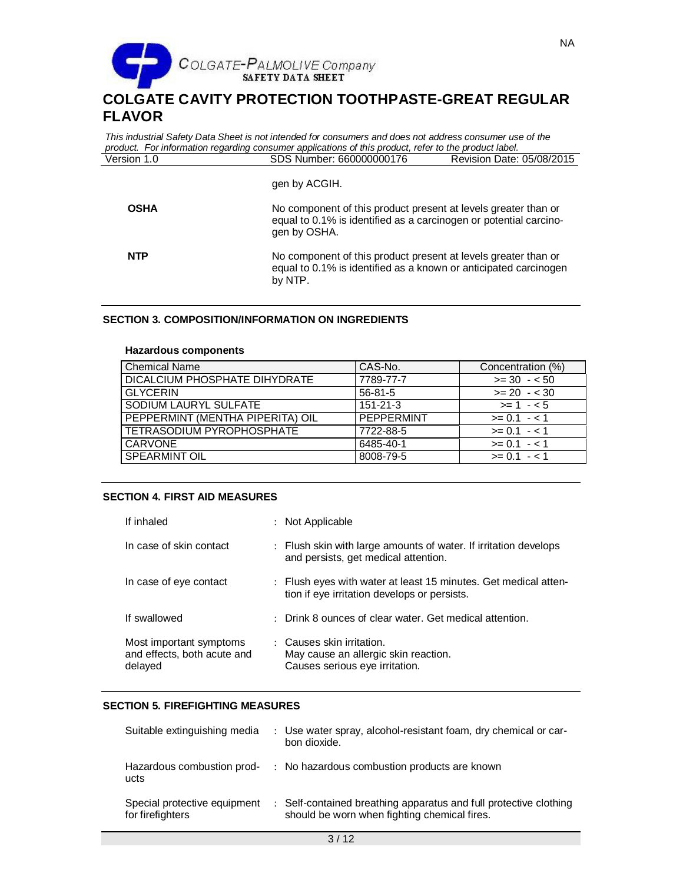

|             | This industrial Safety Data Sheet is not intended for consumers and does not address consumer use of the<br>product. For information regarding consumer applications of this product, refer to the product label. |                           |
|-------------|-------------------------------------------------------------------------------------------------------------------------------------------------------------------------------------------------------------------|---------------------------|
| Version 1.0 | SDS Number: 660000000176                                                                                                                                                                                          | Revision Date: 05/08/2015 |
|             | gen by ACGIH.                                                                                                                                                                                                     |                           |
| <b>OSHA</b> | No component of this product present at levels greater than or<br>equal to 0.1% is identified as a carcinogen or potential carcino-<br>gen by OSHA.                                                               |                           |
| <b>NTP</b>  | No component of this product present at levels greater than or<br>equal to 0.1% is identified as a known or anticipated carcinogen<br>by NTP.                                                                     |                           |

## **SECTION 3. COMPOSITION/INFORMATION ON INGREDIENTS**

### **Hazardous components**

| <b>Chemical Name</b>             | CAS-No.        | Concentration (%) |
|----------------------------------|----------------|-------------------|
| DICALCIUM PHOSPHATE DIHYDRATE    | 7789-77-7      | $>= 30 - 50$      |
| <b>GLYCERIN</b>                  | $56 - 81 - 5$  | $>= 20 - 30$      |
| SODIUM LAURYL SULFATE            | $151 - 21 - 3$ | $>= 1 - 5$        |
| PEPPERMINT (MENTHA PIPERITA) OIL | PEPPERMINT     | $>= 0.1 - 1.1$    |
| <b>TETRASODIUM PYROPHOSPHATE</b> | 7722-88-5      | $>= 0.1 - 1.1$    |
| <b>CARVONE</b>                   | 6485-40-1      | $>= 0.1 - 1.1$    |
| <b>SPEARMINT OIL</b>             | 8008-79-5      | $>= 0.1 - 1.1$    |

## **SECTION 4. FIRST AID MEASURES**

| If inhaled                                                        | : Not Applicable                                                                                                |
|-------------------------------------------------------------------|-----------------------------------------------------------------------------------------------------------------|
| In case of skin contact                                           | : Flush skin with large amounts of water. If irritation develops<br>and persists, get medical attention.        |
| In case of eye contact                                            | : Flush eyes with water at least 15 minutes. Get medical atten-<br>tion if eye irritation develops or persists. |
| If swallowed                                                      | : Drink 8 ounces of clear water. Get medical attention.                                                         |
| Most important symptoms<br>and effects, both acute and<br>delayed | : Causes skin irritation.<br>May cause an allergic skin reaction.<br>Causes serious eye irritation.             |

## **SECTION 5. FIREFIGHTING MEASURES**

| Suitable extinguishing media                     | : Use water spray, alcohol-resistant foam, dry chemical or car-<br>bon dioxide.                                   |
|--------------------------------------------------|-------------------------------------------------------------------------------------------------------------------|
| Hazardous combustion prod-<br>ucts               | : No hazardous combustion products are known                                                                      |
| Special protective equipment<br>for firefighters | : Self-contained breathing apparatus and full protective clothing<br>should be worn when fighting chemical fires. |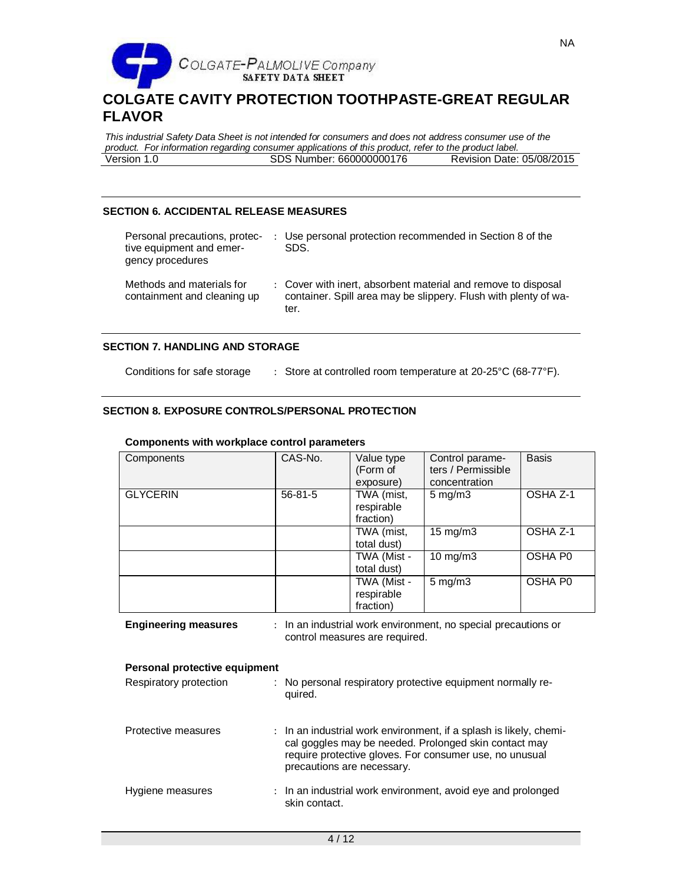

*This industrial Safety Data Sheet is not intended for consumers and does not address consumer use of the product. For information regarding consumer applications of this product, refer to the product label.* SDS Number: 660000000176

## **SECTION 6. ACCIDENTAL RELEASE MEASURES**

| Personal precautions, protec-<br>tive equipment and emer-<br>gency procedures | : Use personal protection recommended in Section 8 of the<br>SDS.                                                                        |
|-------------------------------------------------------------------------------|------------------------------------------------------------------------------------------------------------------------------------------|
| Methods and materials for<br>containment and cleaning up                      | : Cover with inert, absorbent material and remove to disposal<br>container. Spill area may be slippery. Flush with plenty of wa-<br>ter. |

## **SECTION 7. HANDLING AND STORAGE**

Conditions for safe storage : Store at controlled room temperature at 20-25°C (68-77°F).

## **SECTION 8. EXPOSURE CONTROLS/PERSONAL PROTECTION**

| Components      | CAS-No.       | Value type<br>(Form of<br>exposure)    | Control parame-<br>ters / Permissible<br>concentration | <b>Basis</b> |
|-----------------|---------------|----------------------------------------|--------------------------------------------------------|--------------|
| <b>GLYCERIN</b> | $56 - 81 - 5$ | TWA (mist,<br>respirable<br>fraction)  | $5 \text{ mg/m}$ 3                                     | OSHA Z-1     |
|                 |               | TWA (mist,<br>total dust)              | $15 \text{ mg/m}$                                      | OSHA Z-1     |
|                 |               | TWA (Mist -<br>total dust)             | $10 \text{ mg/m}$                                      | OSHA P0      |
|                 |               | TWA (Mist -<br>respirable<br>fraction) | $5$ mg/m $3$                                           | OSHA P0      |

#### **Components with workplace control parameters**

**Engineering measures** : In an industrial work environment, no special precautions or control measures are required.

| <b>Personal protective equipment</b>                                                                                                                                                                                          |  |  |
|-------------------------------------------------------------------------------------------------------------------------------------------------------------------------------------------------------------------------------|--|--|
| Description of the contract of the settlement of the contract of the contract of the contract of the contract of the contract of the contract of the contract of the contract of the contract of the contract of the contract |  |  |

| Respiratory protection | : No personal respiratory protective equipment normally re-<br>quired.                                                                                                                                               |
|------------------------|----------------------------------------------------------------------------------------------------------------------------------------------------------------------------------------------------------------------|
| Protective measures    | : In an industrial work environment, if a splash is likely, chemi-<br>cal goggles may be needed. Prolonged skin contact may<br>require protective gloves. For consumer use, no unusual<br>precautions are necessary. |
| Hygiene measures       | : In an industrial work environment, avoid eye and prolonged<br>skin contact.                                                                                                                                        |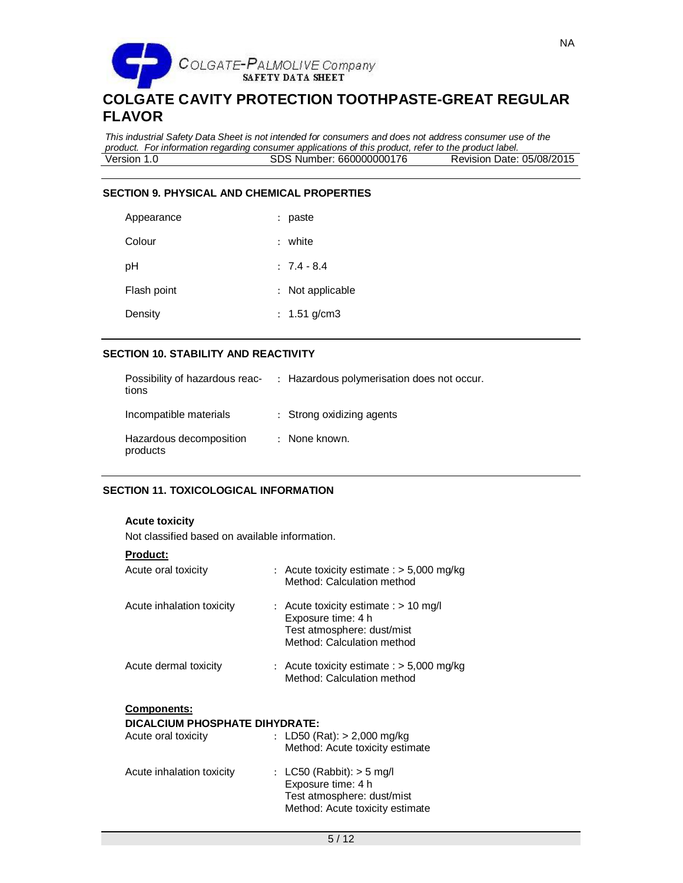

*This industrial Safety Data Sheet is not intended for consumers and does not address consumer use of the product. For information regarding consumer applications of this product, refer to the product label.* SDS Number: 660000000176

## **SECTION 9. PHYSICAL AND CHEMICAL PROPERTIES**

| Appearance  | : paste          |
|-------------|------------------|
| Colour      | : white          |
| рH          | $: 7.4 - 8.4$    |
| Flash point | : Not applicable |
| Density     | : 1.51 g/cm3     |

### **SECTION 10. STABILITY AND REACTIVITY**

| Possibility of hazardous reac-<br>tions | : Hazardous polymerisation does not occur. |
|-----------------------------------------|--------------------------------------------|
| Incompatible materials                  | : Strong oxidizing agents                  |
| Hazardous decomposition<br>products     | : None known.                              |

## **SECTION 11. TOXICOLOGICAL INFORMATION**

| <b>Acute toxicity</b> |  |  |
|-----------------------|--|--|
|                       |  |  |

Not classified based on available information.

| Acute oral toxicity            | : Acute toxicity estimate : $>$ 5,000 mg/kg<br>Method: Calculation method                                                 |
|--------------------------------|---------------------------------------------------------------------------------------------------------------------------|
| Acute inhalation toxicity      | : Acute toxicity estimate : $> 10$ mg/l<br>Exposure time: 4 h<br>Test atmosphere: dust/mist<br>Method: Calculation method |
| Acute dermal toxicity          | : Acute toxicity estimate : $>$ 5,000 mg/kg<br>Method: Calculation method                                                 |
|                                |                                                                                                                           |
| <b>Components:</b>             |                                                                                                                           |
| DICALCIUM PHOSPHATE DIHYDRATE: |                                                                                                                           |
| Acute oral toxicity            | : LD50 (Rat): $> 2,000$ mg/kg<br>Method: Acute toxicity estimate                                                          |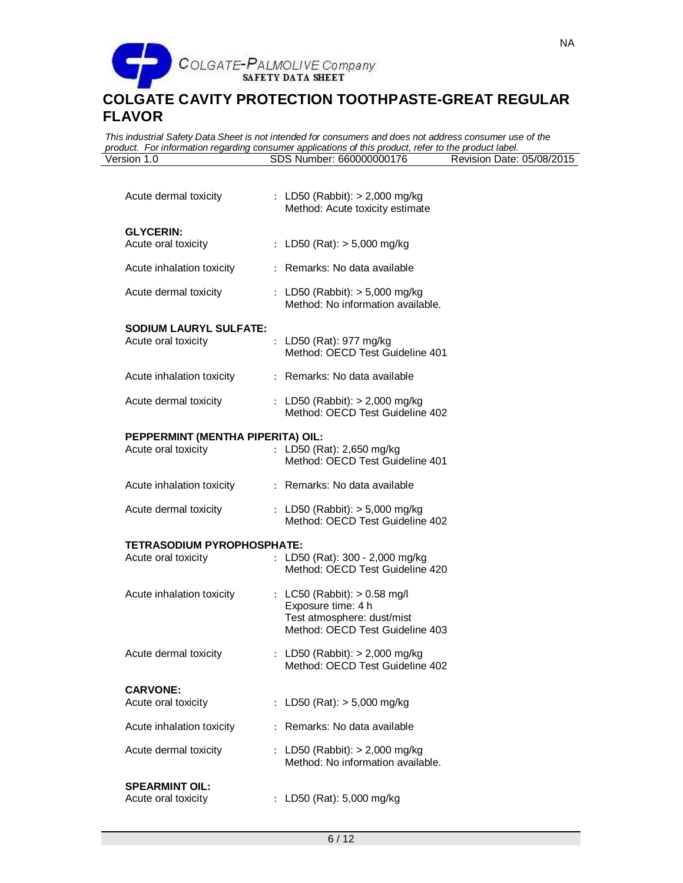

*This industrial Safety Data Sheet is not intended for consumers and does not address consumer use of the product. For information regarding consumer applications of this product, refer to the product label.* SDS Number: 660000000176

| Acute dermal toxicity                                | : LD50 (Rabbit): $> 2,000$ mg/kg<br>Method: Acute toxicity estimate                                                 |
|------------------------------------------------------|---------------------------------------------------------------------------------------------------------------------|
| <b>GLYCERIN:</b><br>Acute oral toxicity              | : LD50 (Rat): $> 5,000$ mg/kg                                                                                       |
| Acute inhalation toxicity                            | : Remarks: No data available                                                                                        |
| Acute dermal toxicity                                | : LD50 (Rabbit): $> 5,000$ mg/kg<br>Method: No information available.                                               |
| <b>SODIUM LAURYL SULFATE:</b><br>Acute oral toxicity | : LD50 (Rat): 977 mg/kg<br>Method: OECD Test Guideline 401                                                          |
| Acute inhalation toxicity                            | : Remarks: No data available                                                                                        |
| Acute dermal toxicity                                | : LD50 (Rabbit): > 2,000 mg/kg<br>Method: OECD Test Guideline 402                                                   |
| PEPPERMINT (MENTHA PIPERITA) OIL:                    |                                                                                                                     |
| Acute oral toxicity                                  | : LD50 (Rat): 2,650 mg/kg<br>Method: OECD Test Guideline 401                                                        |
| Acute inhalation toxicity                            | : Remarks: No data available                                                                                        |
| Acute dermal toxicity                                | : LD50 (Rabbit): > 5,000 mg/kg<br>Method: OECD Test Guideline 402                                                   |
| <b>TETRASODIUM PYROPHOSPHATE:</b>                    |                                                                                                                     |
| Acute oral toxicity                                  | : LD50 (Rat): 300 - 2,000 mg/kg<br>Method: OECD Test Guideline 420                                                  |
| Acute inhalation toxicity                            | : LC50 (Rabbit): > 0.58 mg/l<br>Exposure time: 4 h<br>Test atmosphere: dust/mist<br>Method: OECD Test Guideline 403 |
| Acute dermal toxicity                                | : LD50 (Rabbit): $> 2,000$ mg/kg<br>Method: OECD Test Guideline 402                                                 |
| <b>CARVONE:</b>                                      |                                                                                                                     |
| Acute oral toxicity                                  | LD50 (Rat): $> 5,000$ mg/kg                                                                                         |
| Acute inhalation toxicity                            | Remarks: No data available                                                                                          |
| Acute dermal toxicity                                | : LD50 (Rabbit): $> 2,000$ mg/kg<br>Method: No information available.                                               |
| <b>SPEARMINT OIL:</b><br>Acute oral toxicity         | LD50 (Rat): 5,000 mg/kg                                                                                             |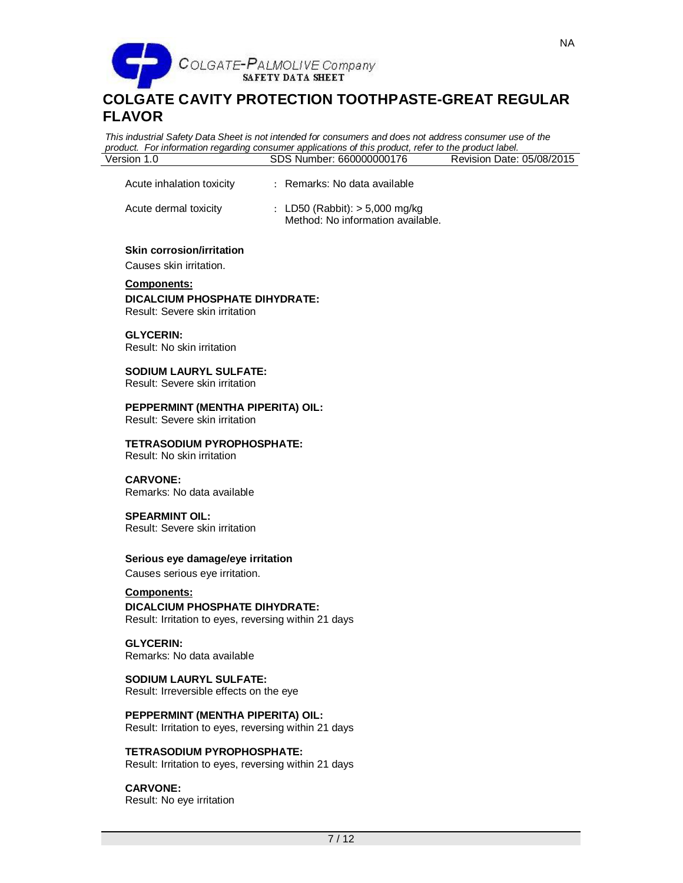

Acute inhalation toxicity : Remarks: No data available

# **COLGATE CAVITY PROTECTION TOOTHPASTE-GREAT REGULAR FLAVOR**

*This industrial Safety Data Sheet is not intended for consumers and does not address consumer use of the product. For information regarding consumer applications of this product, refer to the product label.* SDS Number: 660000000176

| Acute dermal toxicity                                                                  | : LD50 (Rabbit): $> 5,000$ mg/kg<br>Method: No information available. |  |
|----------------------------------------------------------------------------------------|-----------------------------------------------------------------------|--|
| Skin corrosion/irritation<br>Causes skin irritation.                                   |                                                                       |  |
| <b>Components:</b><br>DICALCIUM PHOSPHATE DIHYDRATE:<br>Result: Severe skin irritation |                                                                       |  |
| <b>GLYCERIN:</b><br>Result: No skin irritation                                         |                                                                       |  |
| <b>SODIUM LAURYL SULFATE:</b><br>Result: Severe skin irritation                        |                                                                       |  |
| PEPPERMINT (MENTHA PIPERITA) OIL:<br>Result: Severe skin irritation                    |                                                                       |  |
| <b>TETRASODIUM PYROPHOSPHATE:</b><br>Result: No skin irritation                        |                                                                       |  |
| <b>CARVONE:</b><br>Remarks: No data available                                          |                                                                       |  |
| <b>SPEARMINT OIL:</b><br>Result: Severe skin irritation                                |                                                                       |  |
| Serious eye damage/eye irritation                                                      |                                                                       |  |

Causes serious eye irritation.

**Components: DICALCIUM PHOSPHATE DIHYDRATE:** Result: Irritation to eyes, reversing within 21 days

**GLYCERIN:** Remarks: No data available

**SODIUM LAURYL SULFATE:** Result: Irreversible effects on the eye

**PEPPERMINT (MENTHA PIPERITA) OIL:** Result: Irritation to eyes, reversing within 21 days

**TETRASODIUM PYROPHOSPHATE:** Result: Irritation to eyes, reversing within 21 days

**CARVONE:** Result: No eye irritation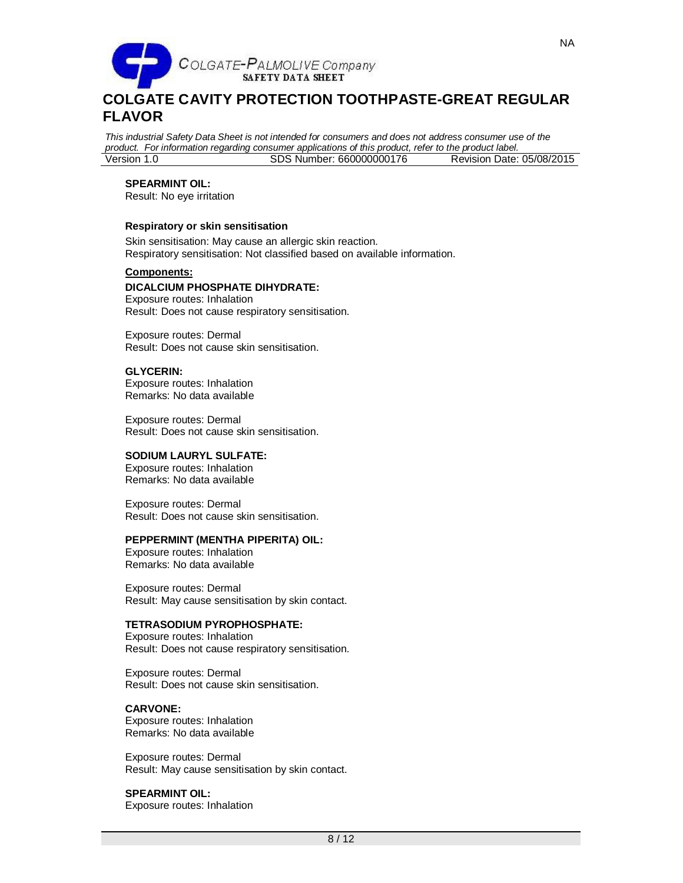

*This industrial Safety Data Sheet is not intended for consumers and does not address consumer use of the product. For information regarding consumer applications of this product, refer to the product label.* SDS Number: 660000000176

## **SPEARMINT OIL:**

Result: No eye irritation

#### **Respiratory or skin sensitisation**

Skin sensitisation: May cause an allergic skin reaction. Respiratory sensitisation: Not classified based on available information.

#### **Components:**

## **DICALCIUM PHOSPHATE DIHYDRATE:**

Exposure routes: Inhalation Result: Does not cause respiratory sensitisation.

Exposure routes: Dermal Result: Does not cause skin sensitisation.

#### **GLYCERIN:**

Exposure routes: Inhalation Remarks: No data available

Exposure routes: Dermal Result: Does not cause skin sensitisation.

#### **SODIUM LAURYL SULFATE:**

Exposure routes: Inhalation Remarks: No data available

Exposure routes: Dermal Result: Does not cause skin sensitisation.

#### **PEPPERMINT (MENTHA PIPERITA) OIL:**

Exposure routes: Inhalation Remarks: No data available

Exposure routes: Dermal Result: May cause sensitisation by skin contact.

#### **TETRASODIUM PYROPHOSPHATE:**

Exposure routes: Inhalation Result: Does not cause respiratory sensitisation.

Exposure routes: Dermal Result: Does not cause skin sensitisation.

### **CARVONE:**

Exposure routes: Inhalation Remarks: No data available

Exposure routes: Dermal Result: May cause sensitisation by skin contact.

## **SPEARMINT OIL:**

Exposure routes: Inhalation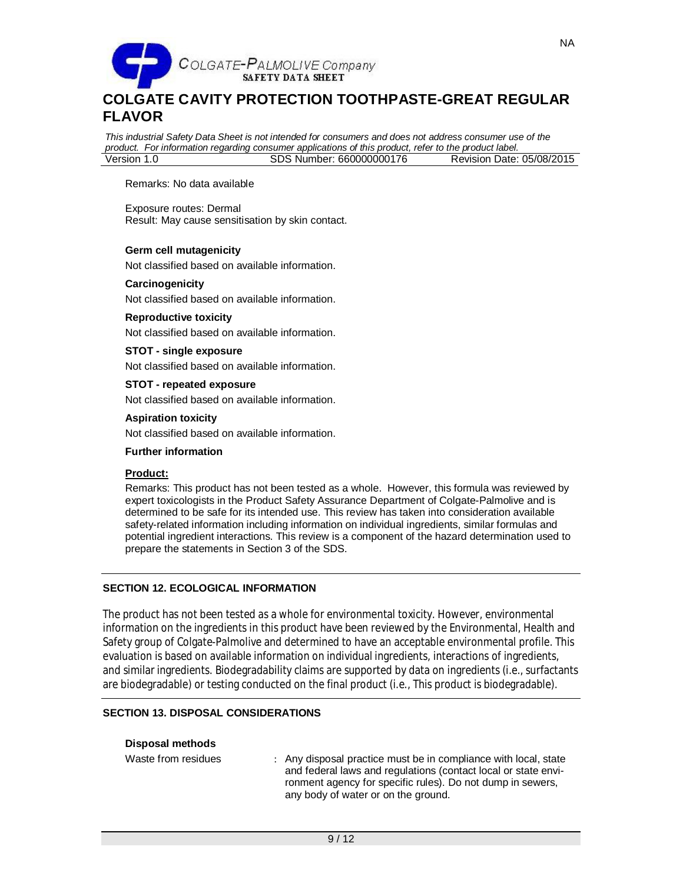

*This industrial Safety Data Sheet is not intended for consumers and does not address consumer use of the product. For information regarding consumer applications of this product, refer to the product label.* Version 1.0 SDS Number: 660000000176

Remarks: No data available

Exposure routes: Dermal Result: May cause sensitisation by skin contact.

### **Germ cell mutagenicity**

Not classified based on available information.

#### **Carcinogenicity**

Not classified based on available information.

### **Reproductive toxicity**

Not classified based on available information.

#### **STOT - single exposure**

Not classified based on available information.

### **STOT - repeated exposure**

Not classified based on available information.

### **Aspiration toxicity**

Not classified based on available information.

#### **Further information**

### **Product:**

Remarks: This product has not been tested as a whole. However, this formula was reviewed by expert toxicologists in the Product Safety Assurance Department of Colgate-Palmolive and is determined to be safe for its intended use. This review has taken into consideration available safety-related information including information on individual ingredients, similar formulas and potential ingredient interactions. This review is a component of the hazard determination used to prepare the statements in Section 3 of the SDS.

## **SECTION 12. ECOLOGICAL INFORMATION**

The product has not been tested as a whole for environmental toxicity. However, environmental information on the ingredients in this product have been reviewed by the Environmental, Health and Safety group of Colgate-Palmolive and determined to have an acceptable environmental profile. This evaluation is based on available information on individual ingredients, interactions of ingredients, and similar ingredients. Biodegradability claims are supported by data on ingredients (i.e., surfactants are biodegradable) or testing conducted on the final product (i.e., This product is biodegradable).

## **SECTION 13. DISPOSAL CONSIDERATIONS**

### **Disposal methods**

Waste from residues : Any disposal practice must be in compliance with local, state and federal laws and regulations (contact local or state environment agency for specific rules). Do not dump in sewers, any body of water or on the ground.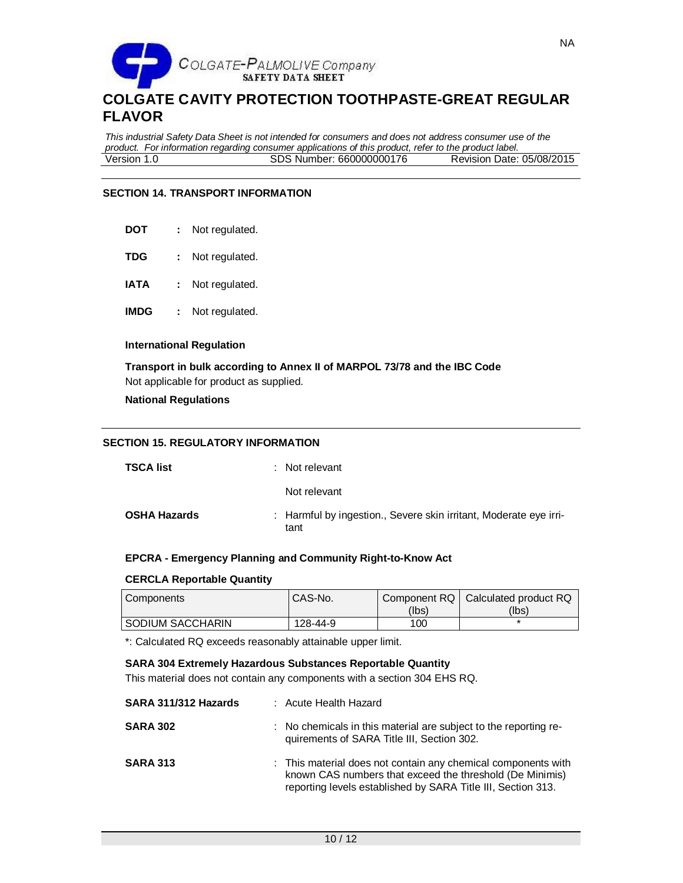

*This industrial Safety Data Sheet is not intended for consumers and does not address consumer use of the product. For information regarding consumer applications of this product, refer to the product label.* SDS Number: 660000000176

## **SECTION 14. TRANSPORT INFORMATION**

- **DOT :** Not regulated.
- **TDG :** Not regulated.
- **IATA :** Not regulated.
- **IMDG :** Not regulated.

### **International Regulation**

**Transport in bulk according to Annex II of MARPOL 73/78 and the IBC Code** Not applicable for product as supplied.

### **National Regulations**

## **SECTION 15. REGULATORY INFORMATION**

| <b>TSCA list</b>    | : Not relevant                                                            |
|---------------------|---------------------------------------------------------------------------|
|                     | Not relevant                                                              |
| <b>OSHA Hazards</b> | : Harmful by ingestion., Severe skin irritant, Moderate eye irri-<br>tant |

## **EPCRA - Emergency Planning and Community Right-to-Know Act**

### **CERCLA Reportable Quantity**

| Components         | <sup>I</sup> CAS-No. |       | Component RQ   Calculated product RQ |
|--------------------|----------------------|-------|--------------------------------------|
|                    |                      | (Ibs) | (Ibs)                                |
| I SODIUM SACCHARIN | 128-44-9             | 100   |                                      |

\*: Calculated RQ exceeds reasonably attainable upper limit.

## **SARA 304 Extremely Hazardous Substances Reportable Quantity**

This material does not contain any components with a section 304 EHS RQ.

| SARA 311/312 Hazards | : Acute Health Hazard                                                                                                                                                                     |
|----------------------|-------------------------------------------------------------------------------------------------------------------------------------------------------------------------------------------|
| <b>SARA 302</b>      | : No chemicals in this material are subject to the reporting re-<br>quirements of SARA Title III, Section 302.                                                                            |
| <b>SARA 313</b>      | : This material does not contain any chemical components with<br>known CAS numbers that exceed the threshold (De Minimis)<br>reporting levels established by SARA Title III, Section 313. |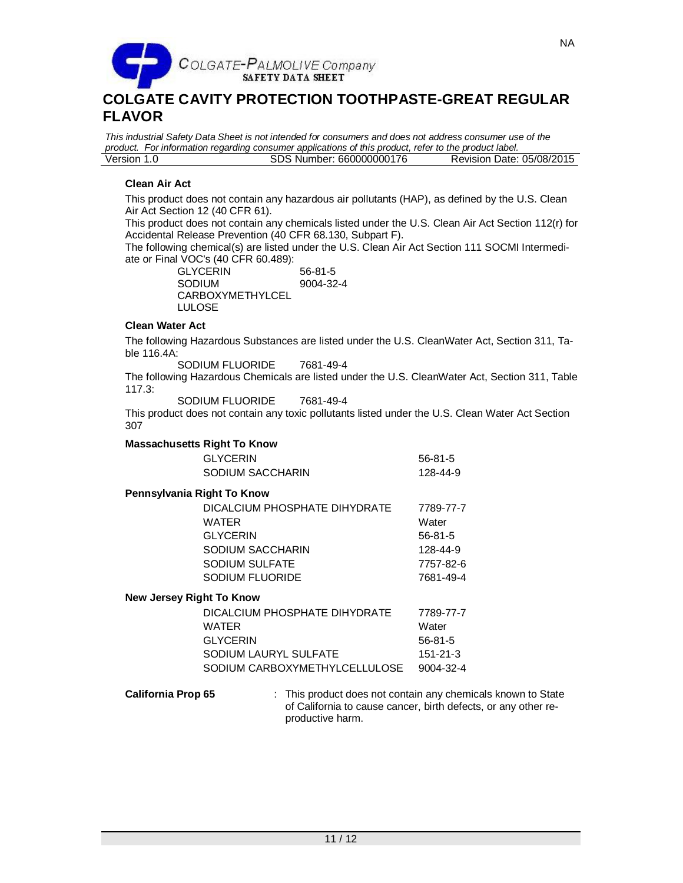

*This industrial Safety Data Sheet is not intended for consumers and does not address consumer use of the product. For information regarding consumer applications of this product, refer to the product label.* SDS Number: 660000000176

## **Clean Air Act**

This product does not contain any hazardous air pollutants (HAP), as defined by the U.S. Clean Air Act Section 12 (40 CFR 61).

This product does not contain any chemicals listed under the U.S. Clean Air Act Section 112(r) for Accidental Release Prevention (40 CFR 68.130, Subpart F).

The following chemical(s) are listed under the U.S. Clean Air Act Section 111 SOCMI Intermediate or Final VOC's (40 CFR 60.489):

GLYCERIN 56-81-5 SODIUM CARBOXYMETHYLCEL LULOSE 9004-32-4

## **Clean Water Act**

The following Hazardous Substances are listed under the U.S. CleanWater Act, Section 311, Table 116.4A:

SODIUM FLUORIDE 7681-49-4

The following Hazardous Chemicals are listed under the U.S. CleanWater Act, Section 311, Table 117.3:

SODIUM FLUORIDE 7681-49-4

This product does not contain any toxic pollutants listed under the U.S. Clean Water Act Section 307

## **Massachusetts Right To Know**

| <b>GLYCERIN</b>  | 56-81-5  |
|------------------|----------|
| SODIUM SACCHARIN | 128-44-9 |

## **Pennsylvania Right To Know**

| DICALCIUM PHOSPHATE DIHYDRATE | 7789-77-7 |
|-------------------------------|-----------|
| WATER                         | Water     |
| <b>GLYCERIN</b>               | $56-81-5$ |
| SODIUM SACCHARIN              | 128-44-9  |
| SODIUM SULFATE                | 7757-82-6 |
| <b>SODIUM FLUORIDE</b>        | 7681-49-4 |
|                               |           |

### **New Jersey Right To Know**

| DICALCIUM PHOSPHATE DIHYDRATE | 7789-77-7       |
|-------------------------------|-----------------|
| <b>WATER</b>                  | Water           |
| <b>GLYCERIN</b>               | $56-81-5$       |
| SODIUM LAURYL SULFATE         | 151-21-3        |
| SODIUM CARBOXYMETHYLCELLULOSE | $9004 - 32 - 4$ |

**California Prop 65** : This product does not contain any chemicals known to State of California to cause cancer, birth defects, or any other reproductive harm.